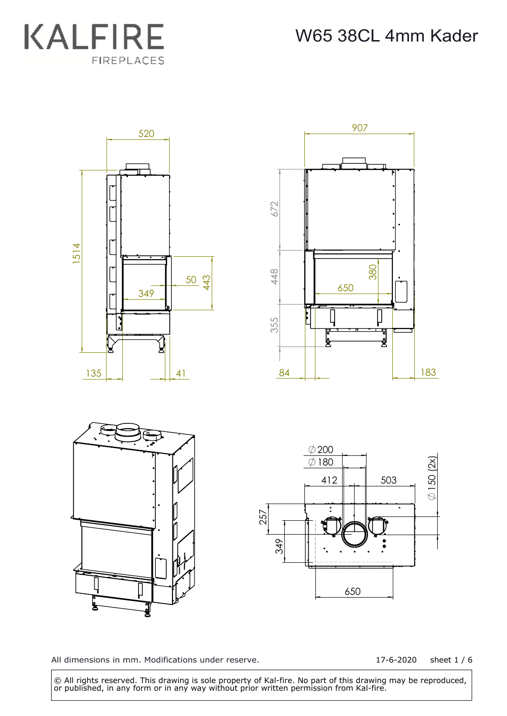



17-6-2020 sheet 1 / 6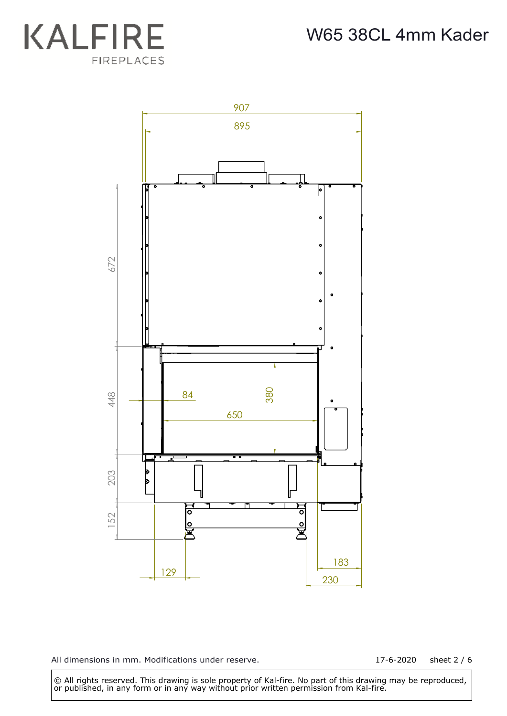



17-6-2020 sheet 2 / 6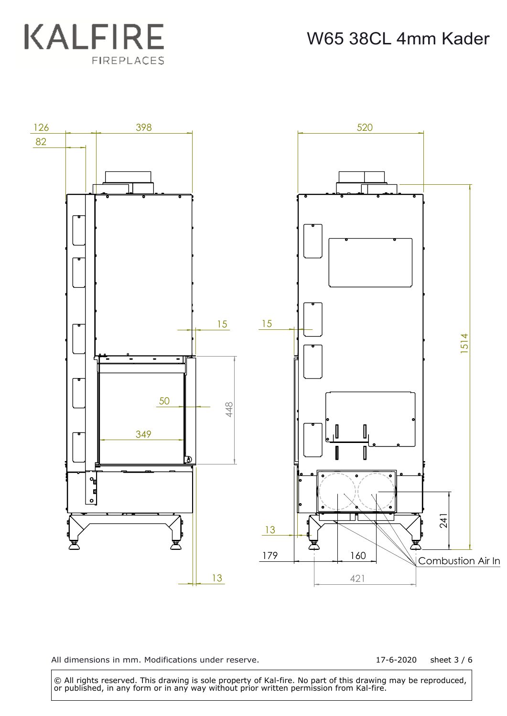W65 38CL 4mm Kader





All dimensions in mm. Modifications under reserve.

17-6-2020 sheet 3 / 6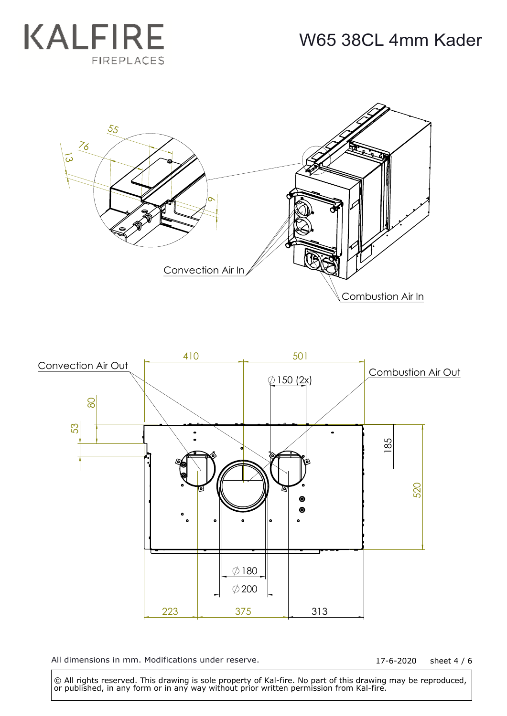





17-6-2020 sheet 4 / 6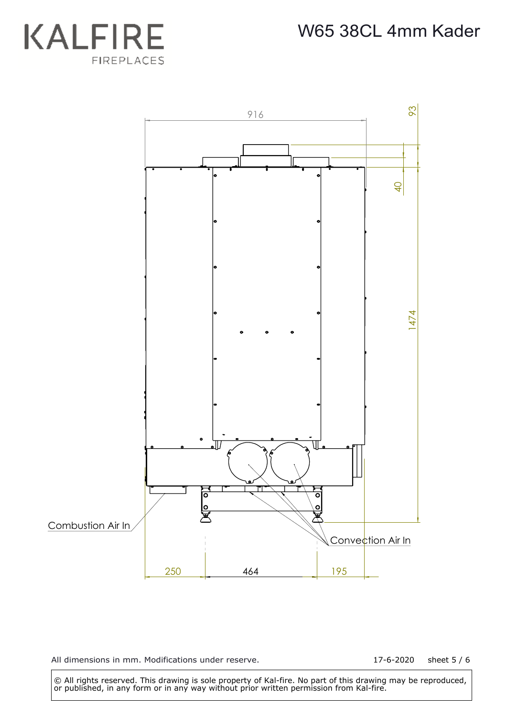



17-6-2020 sheet 5 / 6